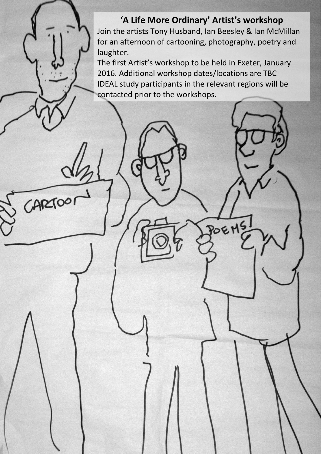**'A Life More Ordinary' Artist's workshop** Join the artists Tony Husband, Ian Beesley & Ian McMillan for an afternoon of cartooning, photography, poetry and laughter.

The first Artist's workshop to be held in Exeter, January 2016. Additional workshop dates/locations are TBC IDEAL study participants in the relevant regions will be contacted prior to the workshops.

POEM

CARTOOI